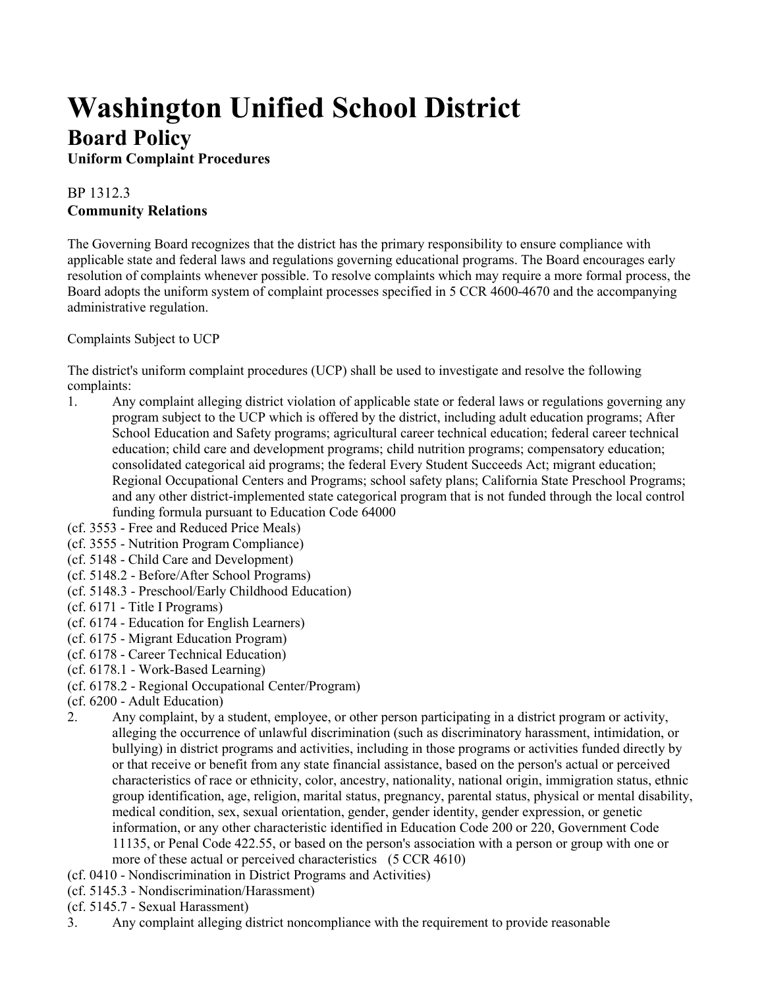## **Washington Unified School District Board Policy**

**Uniform Complaint Procedures**

## BP 1312.3 **Community Relations**

The Governing Board recognizes that the district has the primary responsibility to ensure compliance with applicable state and federal laws and regulations governing educational programs. The Board encourages early resolution of complaints whenever possible. To resolve complaints which may require a more formal process, the Board adopts the uniform system of complaint processes specified in 5 CCR 4600-4670 and the accompanying administrative regulation.

Complaints Subject to UCP

The district's uniform complaint procedures (UCP) shall be used to investigate and resolve the following complaints:

- 1. Any complaint alleging district violation of applicable state or federal laws or regulations governing any program subject to the UCP which is offered by the district, including adult education programs; After School Education and Safety programs; agricultural career technical education; federal career technical education; child care and development programs; child nutrition programs; compensatory education; consolidated categorical aid programs; the federal Every Student Succeeds Act; migrant education; Regional Occupational Centers and Programs; school safety plans; California State Preschool Programs; and any other district-implemented state categorical program that is not funded through the local control funding formula pursuant to Education Code 64000
- (cf. 3553 Free and Reduced Price Meals)
- (cf. 3555 Nutrition Program Compliance)
- (cf. 5148 Child Care and Development)
- (cf. 5148.2 Before/After School Programs)
- (cf. 5148.3 Preschool/Early Childhood Education)
- (cf. 6171 Title I Programs)
- (cf. 6174 Education for English Learners)
- (cf. 6175 Migrant Education Program)
- (cf. 6178 Career Technical Education)
- (cf. 6178.1 Work-Based Learning)
- (cf. 6178.2 Regional Occupational Center/Program)
- (cf. 6200 Adult Education)
- 2. Any complaint, by a student, employee, or other person participating in a district program or activity, alleging the occurrence of unlawful discrimination (such as discriminatory harassment, intimidation, or bullying) in district programs and activities, including in those programs or activities funded directly by or that receive or benefit from any state financial assistance, based on the person's actual or perceived characteristics of race or ethnicity, color, ancestry, nationality, national origin, immigration status, ethnic group identification, age, religion, marital status, pregnancy, parental status, physical or mental disability, medical condition, sex, sexual orientation, gender, gender identity, gender expression, or genetic information, or any other characteristic identified in Education Code 200 or 220, Government Code 11135, or Penal Code 422.55, or based on the person's association with a person or group with one or more of these actual or perceived characteristics (5 CCR 4610)
- (cf. 0410 Nondiscrimination in District Programs and Activities)
- (cf. 5145.3 Nondiscrimination/Harassment)
- (cf. 5145.7 Sexual Harassment)
- 3. Any complaint alleging district noncompliance with the requirement to provide reasonable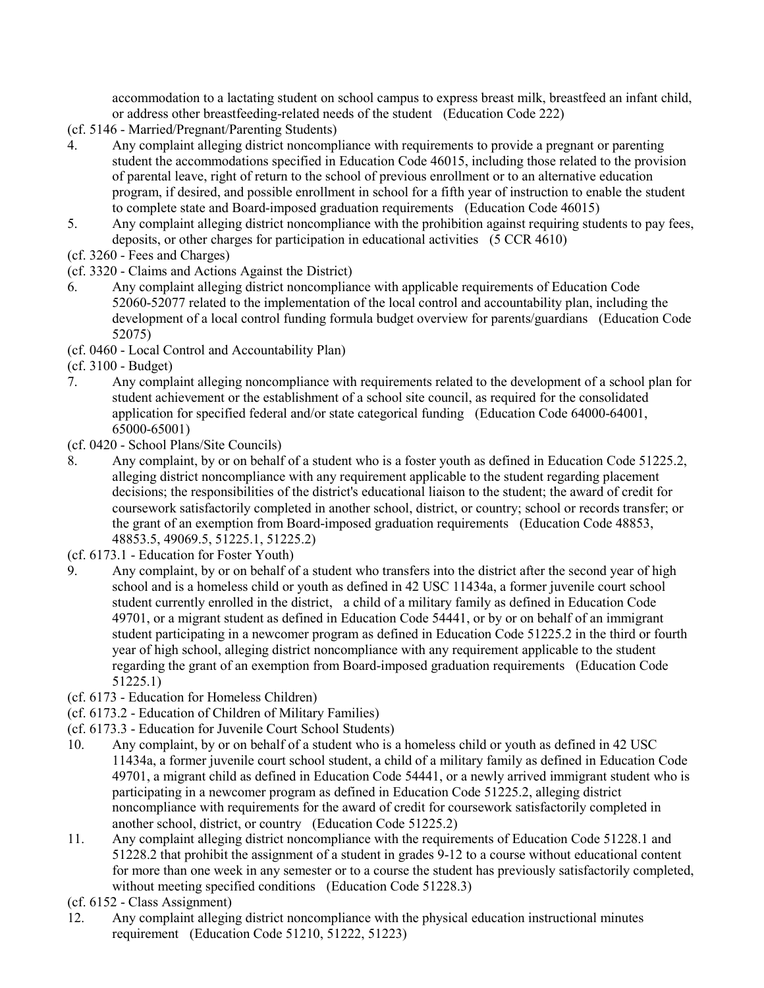accommodation to a lactating student on school campus to express breast milk, breastfeed an infant child, or address other breastfeeding-related needs of the student (Education Code 222)

- (cf. 5146 Married/Pregnant/Parenting Students)
- 4. Any complaint alleging district noncompliance with requirements to provide a pregnant or parenting student the accommodations specified in Education Code 46015, including those related to the provision of parental leave, right of return to the school of previous enrollment or to an alternative education program, if desired, and possible enrollment in school for a fifth year of instruction to enable the student to complete state and Board-imposed graduation requirements (Education Code 46015)
- 5. Any complaint alleging district noncompliance with the prohibition against requiring students to pay fees, deposits, or other charges for participation in educational activities (5 CCR 4610)
- (cf. 3260 Fees and Charges)
- (cf. 3320 Claims and Actions Against the District)
- 6. Any complaint alleging district noncompliance with applicable requirements of Education Code 52060-52077 related to the implementation of the local control and accountability plan, including the development of a local control funding formula budget overview for parents/guardians (Education Code 52075)
- (cf. 0460 Local Control and Accountability Plan)
- (cf. 3100 Budget)
- 7. Any complaint alleging noncompliance with requirements related to the development of a school plan for student achievement or the establishment of a school site council, as required for the consolidated application for specified federal and/or state categorical funding (Education Code 64000-64001, 65000-65001)
- (cf. 0420 School Plans/Site Councils)
- 8. Any complaint, by or on behalf of a student who is a foster youth as defined in Education Code 51225.2, alleging district noncompliance with any requirement applicable to the student regarding placement decisions; the responsibilities of the district's educational liaison to the student; the award of credit for coursework satisfactorily completed in another school, district, or country; school or records transfer; or the grant of an exemption from Board-imposed graduation requirements (Education Code 48853, 48853.5, 49069.5, 51225.1, 51225.2)
- (cf. 6173.1 Education for Foster Youth)
- 9. Any complaint, by or on behalf of a student who transfers into the district after the second year of high school and is a homeless child or youth as defined in 42 USC 11434a, a former juvenile court school student currently enrolled in the district, a child of a military family as defined in Education Code 49701, or a migrant student as defined in Education Code 54441, or by or on behalf of an immigrant student participating in a newcomer program as defined in Education Code 51225.2 in the third or fourth year of high school, alleging district noncompliance with any requirement applicable to the student regarding the grant of an exemption from Board-imposed graduation requirements (Education Code 51225.1)
- (cf. 6173 Education for Homeless Children)
- (cf. 6173.2 Education of Children of Military Families)
- (cf. 6173.3 Education for Juvenile Court School Students)
- 10. Any complaint, by or on behalf of a student who is a homeless child or youth as defined in 42 USC 11434a, a former juvenile court school student, a child of a military family as defined in Education Code 49701, a migrant child as defined in Education Code 54441, or a newly arrived immigrant student who is participating in a newcomer program as defined in Education Code 51225.2, alleging district noncompliance with requirements for the award of credit for coursework satisfactorily completed in another school, district, or country (Education Code 51225.2)
- 11. Any complaint alleging district noncompliance with the requirements of Education Code 51228.1 and 51228.2 that prohibit the assignment of a student in grades 9-12 to a course without educational content for more than one week in any semester or to a course the student has previously satisfactorily completed, without meeting specified conditions (Education Code 51228.3)
- (cf. 6152 Class Assignment)
- 12. Any complaint alleging district noncompliance with the physical education instructional minutes requirement (Education Code 51210, 51222, 51223)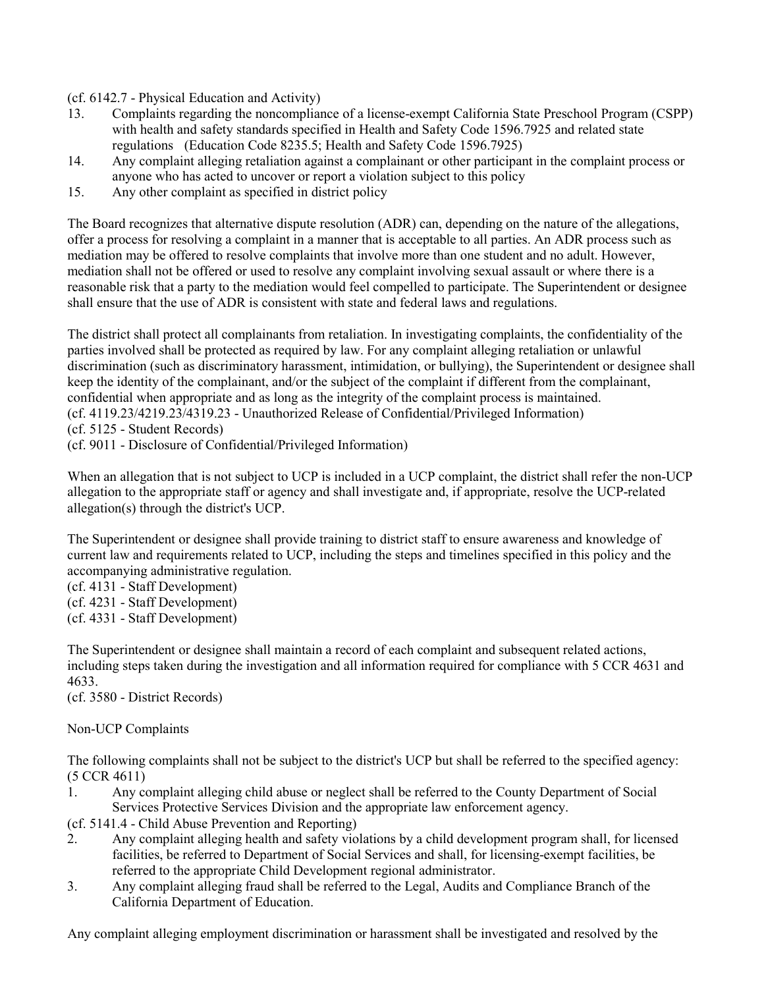(cf. 6142.7 - Physical Education and Activity)

- 13. Complaints regarding the noncompliance of a license-exempt California State Preschool Program (CSPP) with health and safety standards specified in Health and Safety Code 1596.7925 and related state regulations (Education Code 8235.5; Health and Safety Code 1596.7925)
- 14. Any complaint alleging retaliation against a complainant or other participant in the complaint process or anyone who has acted to uncover or report a violation subject to this policy
- 15. Any other complaint as specified in district policy

The Board recognizes that alternative dispute resolution (ADR) can, depending on the nature of the allegations, offer a process for resolving a complaint in a manner that is acceptable to all parties. An ADR process such as mediation may be offered to resolve complaints that involve more than one student and no adult. However, mediation shall not be offered or used to resolve any complaint involving sexual assault or where there is a reasonable risk that a party to the mediation would feel compelled to participate. The Superintendent or designee shall ensure that the use of ADR is consistent with state and federal laws and regulations.

The district shall protect all complainants from retaliation. In investigating complaints, the confidentiality of the parties involved shall be protected as required by law. For any complaint alleging retaliation or unlawful discrimination (such as discriminatory harassment, intimidation, or bullying), the Superintendent or designee shall keep the identity of the complainant, and/or the subject of the complaint if different from the complainant, confidential when appropriate and as long as the integrity of the complaint process is maintained. (cf. 4119.23/4219.23/4319.23 - Unauthorized Release of Confidential/Privileged Information) (cf. 5125 - Student Records)

(cf. 9011 - Disclosure of Confidential/Privileged Information)

When an allegation that is not subject to UCP is included in a UCP complaint, the district shall refer the non-UCP allegation to the appropriate staff or agency and shall investigate and, if appropriate, resolve the UCP-related allegation(s) through the district's UCP.

The Superintendent or designee shall provide training to district staff to ensure awareness and knowledge of current law and requirements related to UCP, including the steps and timelines specified in this policy and the accompanying administrative regulation.

(cf. 4131 - Staff Development)

(cf. 4231 - Staff Development)

(cf. 4331 - Staff Development)

The Superintendent or designee shall maintain a record of each complaint and subsequent related actions, including steps taken during the investigation and all information required for compliance with 5 CCR 4631 and 4633.

(cf. 3580 - District Records)

## Non-UCP Complaints

The following complaints shall not be subject to the district's UCP but shall be referred to the specified agency: (5 CCR 4611)

1. Any complaint alleging child abuse or neglect shall be referred to the County Department of Social Services Protective Services Division and the appropriate law enforcement agency.

(cf. 5141.4 - Child Abuse Prevention and Reporting)

- 2. Any complaint alleging health and safety violations by a child development program shall, for licensed facilities, be referred to Department of Social Services and shall, for licensing-exempt facilities, be referred to the appropriate Child Development regional administrator.
- 3. Any complaint alleging fraud shall be referred to the Legal, Audits and Compliance Branch of the California Department of Education.

Any complaint alleging employment discrimination or harassment shall be investigated and resolved by the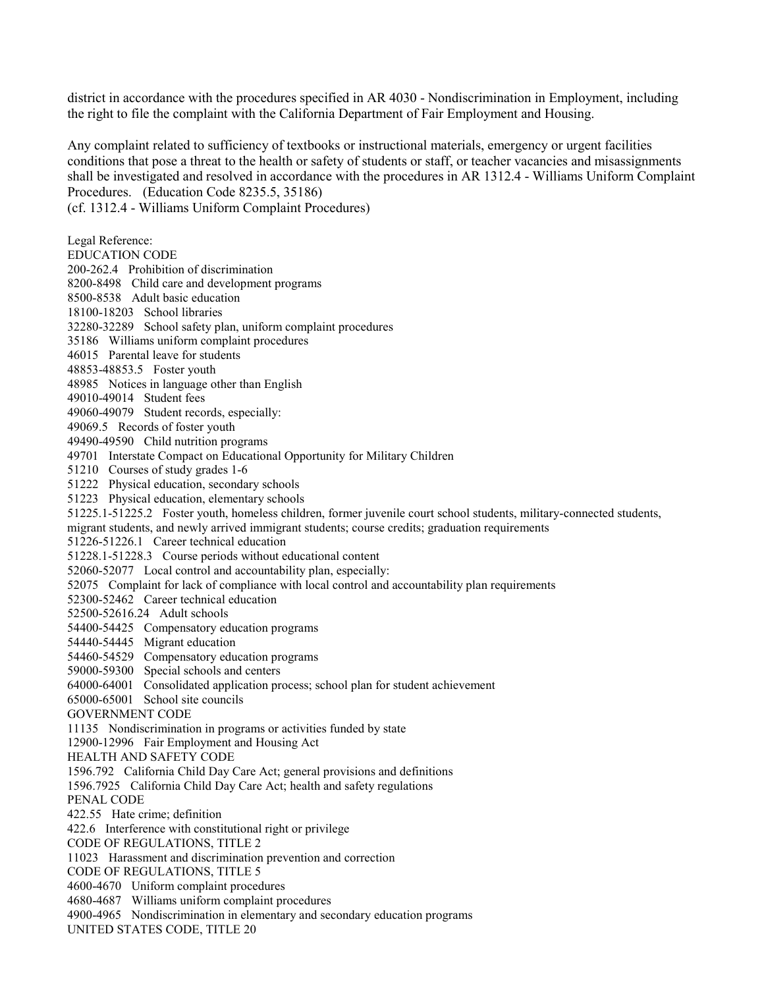district in accordance with the procedures specified in AR 4030 - Nondiscrimination in Employment, including the right to file the complaint with the California Department of Fair Employment and Housing.

Any complaint related to sufficiency of textbooks or instructional materials, emergency or urgent facilities conditions that pose a threat to the health or safety of students or staff, or teacher vacancies and misassignments shall be investigated and resolved in accordance with the procedures in AR 1312.4 - Williams Uniform Complaint Procedures. (Education Code 8235.5, 35186)

(cf. 1312.4 - Williams Uniform Complaint Procedures) Legal Reference: EDUCATION CODE 200-262.4 Prohibition of discrimination 8200-8498 Child care and development programs 8500-8538 Adult basic education 18100-18203 School libraries 32280-32289 School safety plan, uniform complaint procedures 35186 Williams uniform complaint procedures 46015 Parental leave for students 48853-48853.5 Foster youth 48985 Notices in language other than English 49010-49014 Student fees 49060-49079 Student records, especially: 49069.5 Records of foster youth 49490-49590 Child nutrition programs 49701 Interstate Compact on Educational Opportunity for Military Children 51210 Courses of study grades 1-6 51222 Physical education, secondary schools 51223 Physical education, elementary schools 51225.1-51225.2 Foster youth, homeless children, former juvenile court school students, military-connected students, migrant students, and newly arrived immigrant students; course credits; graduation requirements 51226-51226.1 Career technical education 51228.1-51228.3 Course periods without educational content 52060-52077 Local control and accountability plan, especially: 52075 Complaint for lack of compliance with local control and accountability plan requirements 52300-52462 Career technical education 52500-52616.24 Adult schools 54400-54425 Compensatory education programs 54440-54445 Migrant education 54460-54529 Compensatory education programs 59000-59300 Special schools and centers 64000-64001 Consolidated application process; school plan for student achievement 65000-65001 School site councils GOVERNMENT CODE 11135 Nondiscrimination in programs or activities funded by state 12900-12996 Fair Employment and Housing Act HEALTH AND SAFETY CODE 1596.792 California Child Day Care Act; general provisions and definitions 1596.7925 California Child Day Care Act; health and safety regulations PENAL CODE 422.55 Hate crime; definition 422.6 Interference with constitutional right or privilege CODE OF REGULATIONS, TITLE 2 11023 Harassment and discrimination prevention and correction CODE OF REGULATIONS, TITLE 5 4600-4670 Uniform complaint procedures 4680-4687 Williams uniform complaint procedures 4900-4965 Nondiscrimination in elementary and secondary education programs

UNITED STATES CODE, TITLE 20